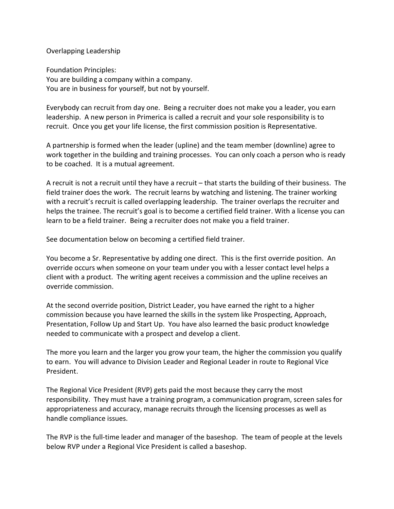#### Overlapping Leadership

Foundation Principles: You are building a company within a company. You are in business for yourself, but not by yourself.

Everybody can recruit from day one. Being a recruiter does not make you a leader, you earn leadership. A new person in Primerica is called a recruit and your sole responsibility is to recruit. Once you get your life license, the first commission position is Representative.

A partnership is formed when the leader (upline) and the team member (downline) agree to work together in the building and training processes. You can only coach a person who is ready to be coached. It is a mutual agreement.

A recruit is not a recruit until they have a recruit – that starts the building of their business. The field trainer does the work. The recruit learns by watching and listening. The trainer working with a recruit's recruit is called overlapping leadership. The trainer overlaps the recruiter and helps the trainee. The recruit's goal is to become a certified field trainer. With a license you can learn to be a field trainer. Being a recruiter does not make you a field trainer.

See documentation below on becoming a certified field trainer.

You become a Sr. Representative by adding one direct. This is the first override position. An override occurs when someone on your team under you with a lesser contact level helps a client with a product. The writing agent receives a commission and the upline receives an override commission.

At the second override position, District Leader, you have earned the right to a higher commission because you have learned the skills in the system like Prospecting, Approach, Presentation, Follow Up and Start Up. You have also learned the basic product knowledge needed to communicate with a prospect and develop a client.

The more you learn and the larger you grow your team, the higher the commission you qualify to earn. You will advance to Division Leader and Regional Leader in route to Regional Vice President.

The Regional Vice President (RVP) gets paid the most because they carry the most responsibility. They must have a training program, a communication program, screen sales for appropriateness and accuracy, manage recruits through the licensing processes as well as handle compliance issues.

The RVP is the full-time leader and manager of the baseshop. The team of people at the levels below RVP under a Regional Vice President is called a baseshop.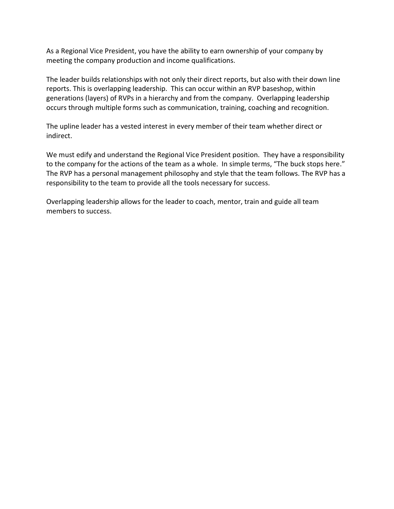As a Regional Vice President, you have the ability to earn ownership of your company by meeting the company production and income qualifications.

The leader builds relationships with not only their direct reports, but also with their down line reports. This is overlapping leadership. This can occur within an RVP baseshop, within generations (layers) of RVPs in a hierarchy and from the company. Overlapping leadership occurs through multiple forms such as communication, training, coaching and recognition.

The upline leader has a vested interest in every member of their team whether direct or indirect.

We must edify and understand the Regional Vice President position. They have a responsibility to the company for the actions of the team as a whole. In simple terms, "The buck stops here." The RVP has a personal management philosophy and style that the team follows. The RVP has a responsibility to the team to provide all the tools necessary for success.

Overlapping leadership allows for the leader to coach, mentor, train and guide all team members to success.